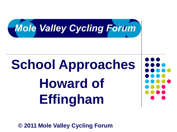

# **School Approaches Howard of Effingham**

**© 2011 Mole Valley Cycling Forum**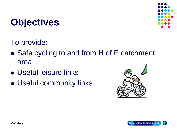# **Objectives**



To provide:

- Safe cycling to and from H of E catchment area
- Useful leisure links
- Useful community links



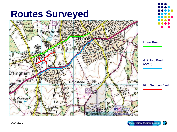# **Routes Surveyed**





Lower Road

Guildford Road (A246)

King George's Field

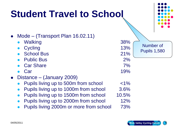# **Student Travel to School**

| Mode – (Transport Plan 16.02.11)<br>Walking<br>Cycling<br><b>School Bus</b><br><b>Public Bus</b> | 38%<br>13%<br>21%<br>2%<br>7% | Number of<br><b>Pupils 1,580</b> |
|--------------------------------------------------------------------------------------------------|-------------------------------|----------------------------------|
| <b>Car Share</b><br>Car                                                                          | 19%                           |                                  |
| Distance – (January 2009)                                                                        |                               |                                  |
| Pupils living up to 500m from school                                                             | $< 1\%$                       |                                  |
| Pupils living up to 1000m from school                                                            | 3.6%                          |                                  |
| Pupils living up to 1500m from school                                                            | 10.5%                         |                                  |
| Pupils living up to 2000m from school                                                            | 12%                           |                                  |
| Pupils living 2000m or more from school                                                          | 73%                           |                                  |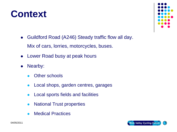- National Trust properties
- Medical Practices

Local sports fields and facilities

• Local shops, garden centres, garages

- Other schools
- Nearby:
- Lower Road busy at peak hours
- Guildford Road (A246) Steady traffic flow all day. Mix of cars, lorries, motorcycles, buses.





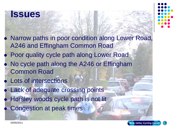#### **Issues**

 Narrow paths in poor condition along Lower Road, A246 and Effingham Common Road Poor quality cycle path along Lower Road No cycle path along the A246 or Effingham Common Road Lots of intersections Lack of adequate crossing points Horsley woods cycle path is not lit Congestion at peak times

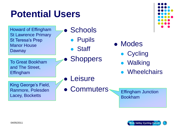## **Potential Users**

Howard of Effingham St Lawrence Primary St Teresa's Prep Manor House **Dawnay** 

**Schools** 

- Pupils
- Staff

To Great Bookham and The Street, Effingham

- King George's Field, Ranmore, Polesden Lacey, Bocketts
- **Leisure**
- Commuters

**Shoppers** 



- Cycling
- **Walking**
- **Wheelchairs**

Effingham Junction Bookham



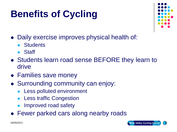# **Benefits of Cycling**



- Daily exercise improves physical health of:
	- **•** Students
	- Staff
- Students learn road sense BEFORE they learn to drive
- Families save money
- Surrounding community can enjoy:
	- Less polluted environment
	- Less traffic Congestion
	- Improved road safety
- Fewer parked cars along nearby roads

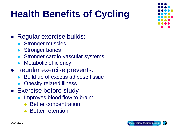# **Health Benefits of Cycling**

- Regular exercise builds:
	- **Stronger muscles**
	- Stronger bones
	- Stronger cardio-vascular systems
	- Metabolic efficiency
- Regular exercise prevents:
	- Build up of excess adipose tissue
	- Obesity related illness
- Exercise before study
	- Improves blood flow to brain:
		- Better concentration
		- Better retention



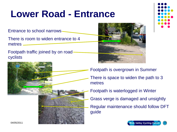# **Lower Road - Entrance**

Entrance to school narrows

There is room to widen entrance to 4 metres

Footpath traffic joined by on road cyclists







Footpath is overgrown in Summer There is space to widen the path to 3 metres Footpath is waterlogged in Winter Grass verge is damaged and unsightly Regular maintenance should follow DFT guide

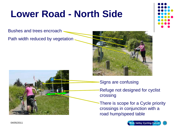# **Lower Road - North Side**

Bushes and trees encroach

Path width reduced by vegetation





- Signs are confusing
- Refuge not designed for cyclist crossing
- There is scope for a Cycle priority crossings in conjunction with a road hump/speed table

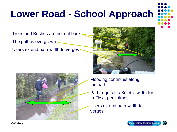# **Lower Road - School Approach**



Trees and Bushes are not cut back

The path is overgrown

Users extend path width to verges





- Flooding continues along footpath
- Path requires a 3metre width for traffic at peak times
- Users extend path width to verges

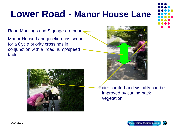# **Lower Road - Manor House Lane**

Road Markings and Signage are poor

Manor House Lane junction has scope for a Cycle priority crossings in conjunction with a road hump/speed table







Rider comfort and visibility can be improved by cutting back vegetation

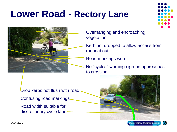## **Lower Road - Rectory Lane**



Overhanging and encroaching vegetation

Kerb not dropped to allow access from roundabout

Road markings worn

No "cycles" warning sign on approaches to crossing

Drop kerbs not flush with road

Confusing road markings

Road width suitable for discretionary cycle lane



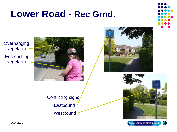### **Lower Road - Rec Grnd.**



**Overhanging** vegetation **Encroaching** vegetation









Conflicting signs •Eastbound

•Westbound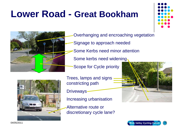## **Lower Road - Great Bookham**



Overhanging and encroaching vegetation Signage to approach needed Some Kerbs need minor attention Some kerbs need widening Scope for Cycle priority



Trees, lamps and signs constricting path

**Driveways** 

Increasing urbanisation

Alternative route or discretionary cycle lane?





04/05/2011 Mole Valley Cycling For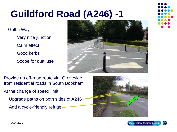Griffin Way:

Very nice junction

Calm effect

Good kerbs

Scope for dual use





Provide an off-road route via Groveside from residential roads in South Bookham

At the change of speed limit:

Upgrade paths on both sides of A246

Add a cycle-friendly refuge



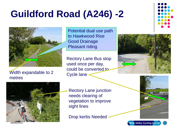

#### Width expandable to 2 metres

Potential dual use path to Hawkwood Rise Good Drainage Pleasant riding

Rectory Lane Bus stop used once per day, could be converted to Cycle lane -





Rectory Lane junction needs clearing of vegetation to improve sight lines

Drop kerbs Needed



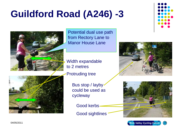

Potential dual use path from Rectory Lane to Manor House Lane

Width expandable to 2 metres

Protruding tree



Bus stop / layby could be used as cycleway

Good kerbs

Good sightlines





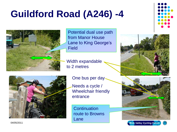

Potential dual use path from Manor House Lane to King George's Field

Width expandable to 2 metres



One bus per day

Needs a cycle / Wheelchair friendly entrance

**Continuation** route to Browns Lane





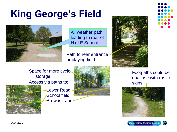# **King George's Field**



All weather path leading to rear of H of E School

Path to rear entrance or playing field



Space for more cycle storage Access via paths to: signs signs

Lower Road School field **Browns Lane** 



Footpaths could be dual use with rustic



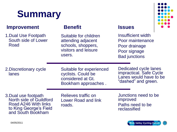# **Summary**

#### **Improvement**

1.Dual Use Footpath South side of Lower Road

#### **Benefit Issues**

Suitable for children attending adjacent schools, shoppers, visitors and leisure users.

Insufficient width Poor maintenance Poor drainage Poor signage Bad junctions

2.Discretionary cycle lanes

Suitable for experienced cyclists. Could be considered at Gt. Bookham approaches .

Dedicated cycle lanes impractical. Safe Cycle Lanes would have to be "dashed" and green.

3.Dual use footpath North side of Guildford Road A246 With links to King George's Field and South Bookham

Relieves traffic on Lower Road and link roads.

Junctions need to be improved Paths need to be reclassified